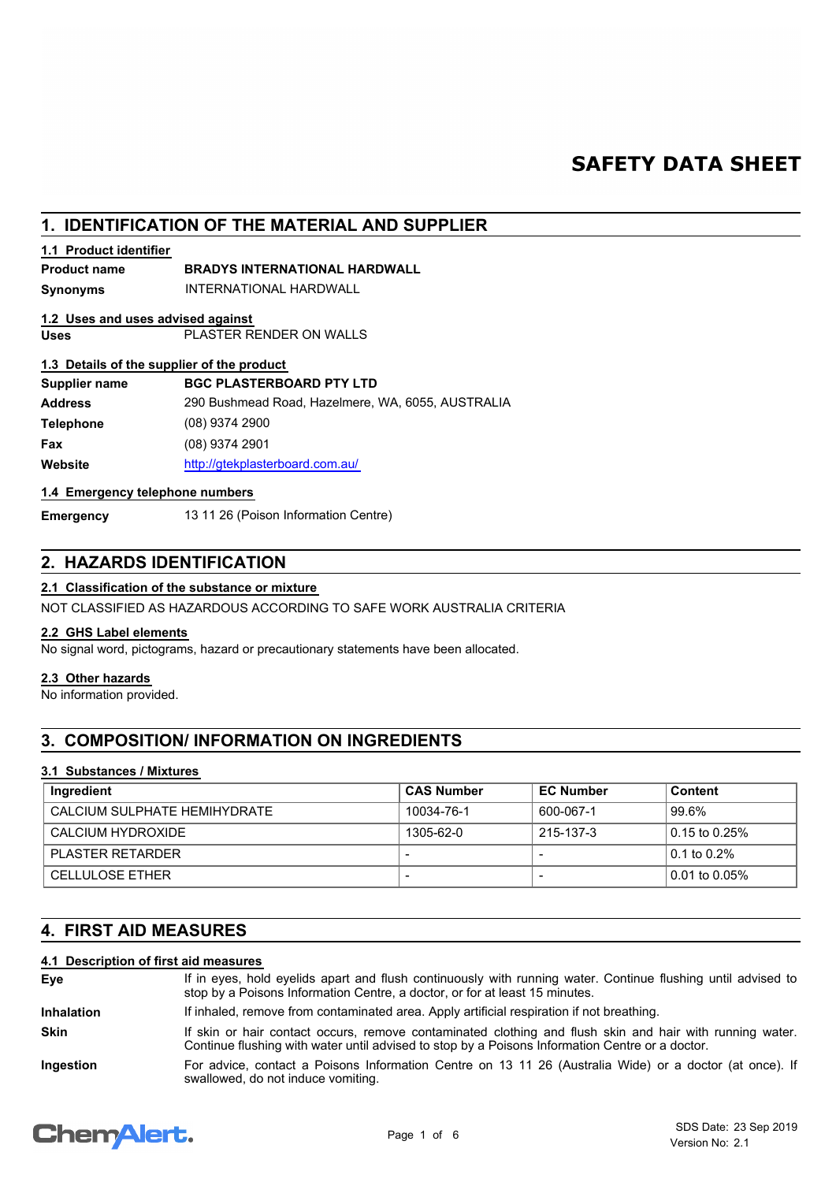# **SAFETY DATA SHEET**

# **1. IDENTIFICATION OF THE MATERIAL AND SUPPLIER**

## **1.1 Product identifier**

## **Product name BRADYS INTERNATIONAL HARDWALL**

**Synonyms** INTERNATIONAL HARDWALL

# **1.2 Uses and uses advised against**

**Uses** PLASTER RENDER ON WALLS

## **1.3 Details of the supplier of the product**

| Supplier name    | <b>BGC PLASTERBOARD PTY LTD</b>                   |
|------------------|---------------------------------------------------|
| <b>Address</b>   | 290 Bushmead Road, Hazelmere, WA, 6055, AUSTRALIA |
| <b>Telephone</b> | $(08)$ 9374 2900                                  |
| Fax              | $(08)$ 9374 2901                                  |
| Website          | http://gtekplasterboard.com.au/                   |

## **1.4 Emergency telephone numbers**

**Emergency** 13 11 26 (Poison Information Centre)

# **2. HAZARDS IDENTIFICATION**

## **2.1 Classification of the substance or mixture**

NOT CLASSIFIED AS HAZARDOUS ACCORDING TO SAFE WORK AUSTRALIA CRITERIA

## **2.2 GHS Label elements**

No signal word, pictograms, hazard or precautionary statements have been allocated.

# **2.3 Other hazards**

No information provided.

# **3. COMPOSITION/ INFORMATION ON INGREDIENTS**

## **3.1 Substances / Mixtures**

| Ingredient                   | <b>CAS Number</b> | <b>EC Number</b> | Content           |
|------------------------------|-------------------|------------------|-------------------|
| CALCIUM SULPHATE HEMIHYDRATE | 10034-76-1        | 600-067-1        | 99.6%             |
| CALCIUM HYDROXIDE            | 1305-62-0         | 215-137-3        | 0.15 to 0.25%     |
| PLASTER RETARDER             |                   |                  | 0.1 to 0.2%       |
| <b>CELLULOSE ETHER</b>       |                   |                  | l 0.01 to 0.05% l |

# **4. FIRST AID MEASURES**

# **4.1 Description of first aid measures**

| Eve               | If in eyes, hold eyelids apart and flush continuously with running water. Continue flushing until advised to<br>stop by a Poisons Information Centre, a doctor, or for at least 15 minutes.                 |
|-------------------|-------------------------------------------------------------------------------------------------------------------------------------------------------------------------------------------------------------|
| <b>Inhalation</b> | If inhaled, remove from contaminated area. Apply artificial respiration if not breathing.                                                                                                                   |
| <b>Skin</b>       | If skin or hair contact occurs, remove contaminated clothing and flush skin and hair with running water.<br>Continue flushing with water until advised to stop by a Poisons Information Centre or a doctor. |
| Ingestion         | For advice, contact a Poisons Information Centre on 13 11 26 (Australia Wide) or a doctor (at once). If<br>swallowed, do not induce vomiting.                                                               |

# **Chemalert.**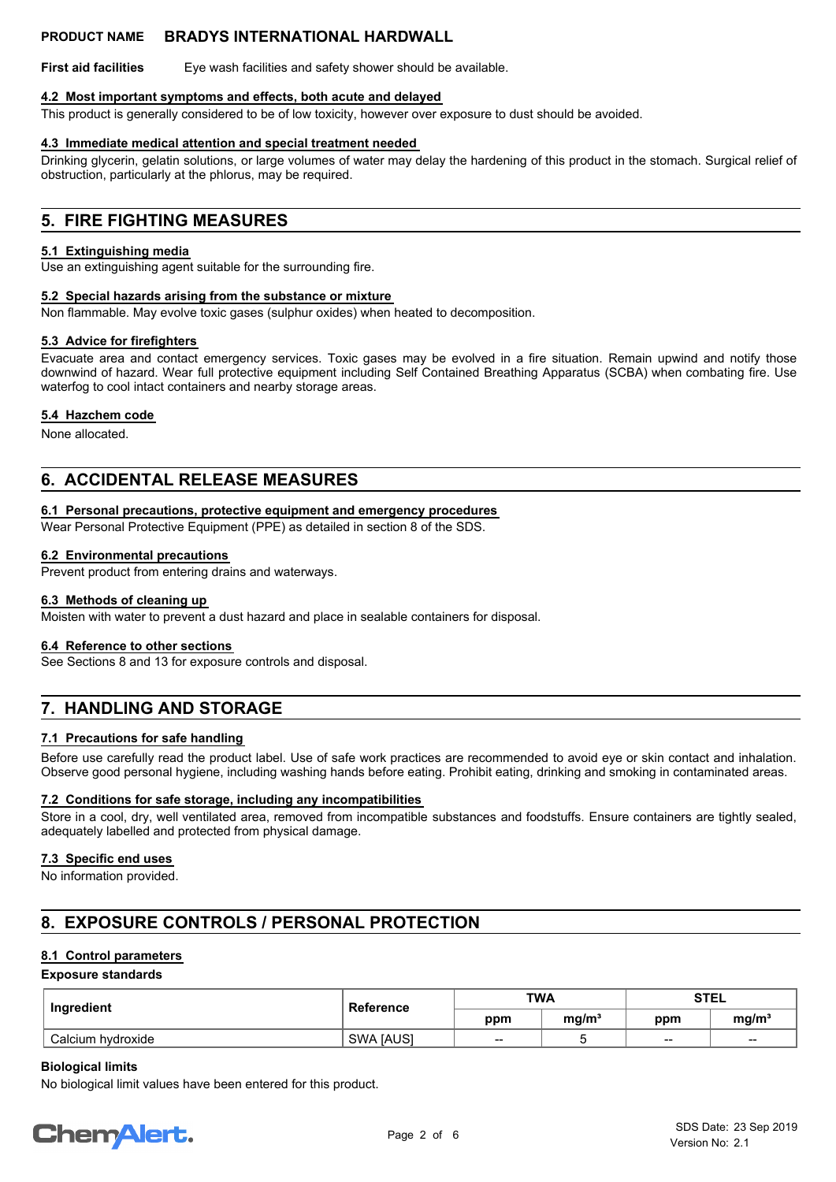**First aid facilities** Eye wash facilities and safety shower should be available.

#### **4.2 Most important symptoms and effects, both acute and delayed**

This product is generally considered to be of low toxicity, however over exposure to dust should be avoided.

#### **4.3 Immediate medical attention and special treatment needed**

Drinking glycerin, gelatin solutions, or large volumes of water may delay the hardening of this product in the stomach. Surgical relief of obstruction, particularly at the phlorus, may be required.

# **5. FIRE FIGHTING MEASURES**

#### **5.1 Extinguishing media**

Use an extinguishing agent suitable for the surrounding fire.

#### **5.2 Special hazards arising from the substance or mixture**

Non flammable. May evolve toxic gases (sulphur oxides) when heated to decomposition.

#### **5.3 Advice for firefighters**

Evacuate area and contact emergency services. Toxic gases may be evolved in a fire situation. Remain upwind and notify those downwind of hazard. Wear full protective equipment including Self Contained Breathing Apparatus (SCBA) when combating fire. Use waterfog to cool intact containers and nearby storage areas.

#### **5.4 Hazchem code**

None allocated.

# **6. ACCIDENTAL RELEASE MEASURES**

## **6.1 Personal precautions, protective equipment and emergency procedures**

Wear Personal Protective Equipment (PPE) as detailed in section 8 of the SDS.

#### **6.2 Environmental precautions**

Prevent product from entering drains and waterways.

## **6.3 Methods of cleaning up**

Moisten with water to prevent a dust hazard and place in sealable containers for disposal.

#### **6.4 Reference to other sections**

See Sections 8 and 13 for exposure controls and disposal.

# **7. HANDLING AND STORAGE**

## **7.1 Precautions for safe handling**

Before use carefully read the product label. Use of safe work practices are recommended to avoid eye or skin contact and inhalation. Observe good personal hygiene, including washing hands before eating. Prohibit eating, drinking and smoking in contaminated areas.

#### **7.2 Conditions for safe storage, including any incompatibilities**

Store in a cool, dry, well ventilated area, removed from incompatible substances and foodstuffs. Ensure containers are tightly sealed, adequately labelled and protected from physical damage.

## **7.3 Specific end uses**

No information provided.

# **8. EXPOSURE CONTROLS / PERSONAL PROTECTION**

## **8.1 Control parameters**

## **Exposure standards**

| Ingredient        | <b>Reference</b> | <b>TWA</b> |                   | <b>STEL</b>              |                        |
|-------------------|------------------|------------|-------------------|--------------------------|------------------------|
|                   |                  | ppm        | mg/m <sup>3</sup> | ppm                      | mg/m <sup>3</sup>      |
| Calcium hydroxide | <b>SWA JAUSI</b> | $- -$      |                   | $\overline{\phantom{a}}$ | $\qquad \qquad \cdots$ |

### **Biological limits**

No biological limit values have been entered for this product.

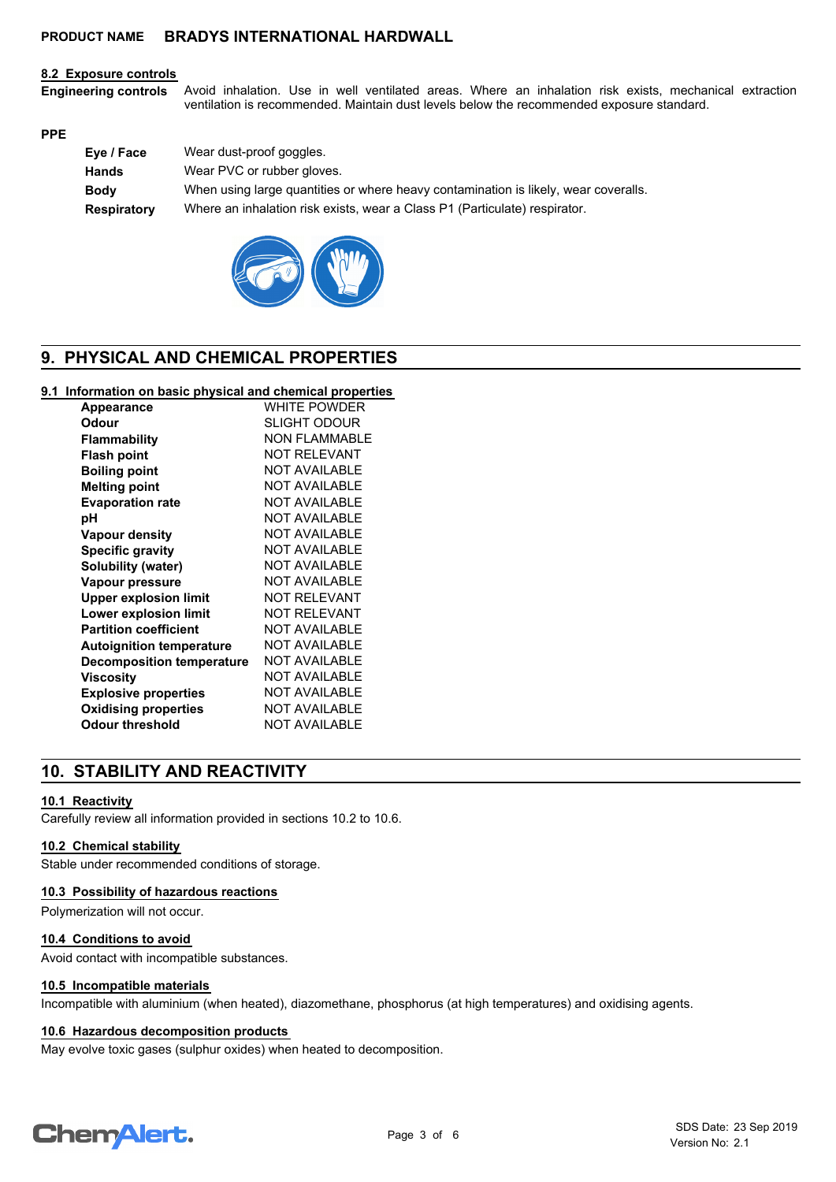#### **8.2 Exposure controls**

Avoid inhalation. Use in well ventilated areas. Where an inhalation risk exists, mechanical extraction ventilation is recommended. Maintain dust levels below the recommended exposure standard. **Engineering controls**

#### **PPE**

| Eye / Face         | Wear dust-proof goggles.                                                            |
|--------------------|-------------------------------------------------------------------------------------|
| Hands              | Wear PVC or rubber gloves.                                                          |
| <b>Body</b>        | When using large quantities or where heavy contamination is likely, wear coveralls. |
| <b>Respiratory</b> | Where an inhalation risk exists, wear a Class P1 (Particulate) respirator.          |
|                    |                                                                                     |



# **9. PHYSICAL AND CHEMICAL PROPERTIES**

# **9.1 Information on basic physical and chemical properties**

| <b>WHITE POWDER</b>  |
|----------------------|
| <b>SLIGHT ODOUR</b>  |
| <b>NON FLAMMABLE</b> |
| <b>NOT RELEVANT</b>  |
| <b>NOT AVAILABLE</b> |
| <b>NOT AVAILABLE</b> |
| <b>NOT AVAILABLE</b> |
| NOT AVAILABLE        |
| <b>NOT AVAILABLE</b> |
| <b>NOT AVAILABLE</b> |
| <b>NOT AVAILABLE</b> |
| <b>NOT AVAILABLE</b> |
| NOT RFI FVANT        |
| <b>NOT RELEVANT</b>  |
| NOT AVAILABLE        |
| <b>NOT AVAILABLE</b> |
| NOT AVAILABLE        |
| NOT AVAILABLE        |
| NOT AVAILABLE        |
| <b>NOT AVAILABLE</b> |
| NOT AVAILABLE        |
|                      |

# **10. STABILITY AND REACTIVITY**

## **10.1 Reactivity**

Carefully review all information provided in sections 10.2 to 10.6.

#### **10.2 Chemical stability**

Stable under recommended conditions of storage.

### **10.3 Possibility of hazardous reactions**

Polymerization will not occur.

#### **10.4 Conditions to avoid**

Avoid contact with incompatible substances.

#### **10.5 Incompatible materials**

Incompatible with aluminium (when heated), diazomethane, phosphorus (at high temperatures) and oxidising agents.

### **10.6 Hazardous decomposition products**

May evolve toxic gases (sulphur oxides) when heated to decomposition.

# **ChemAlert.**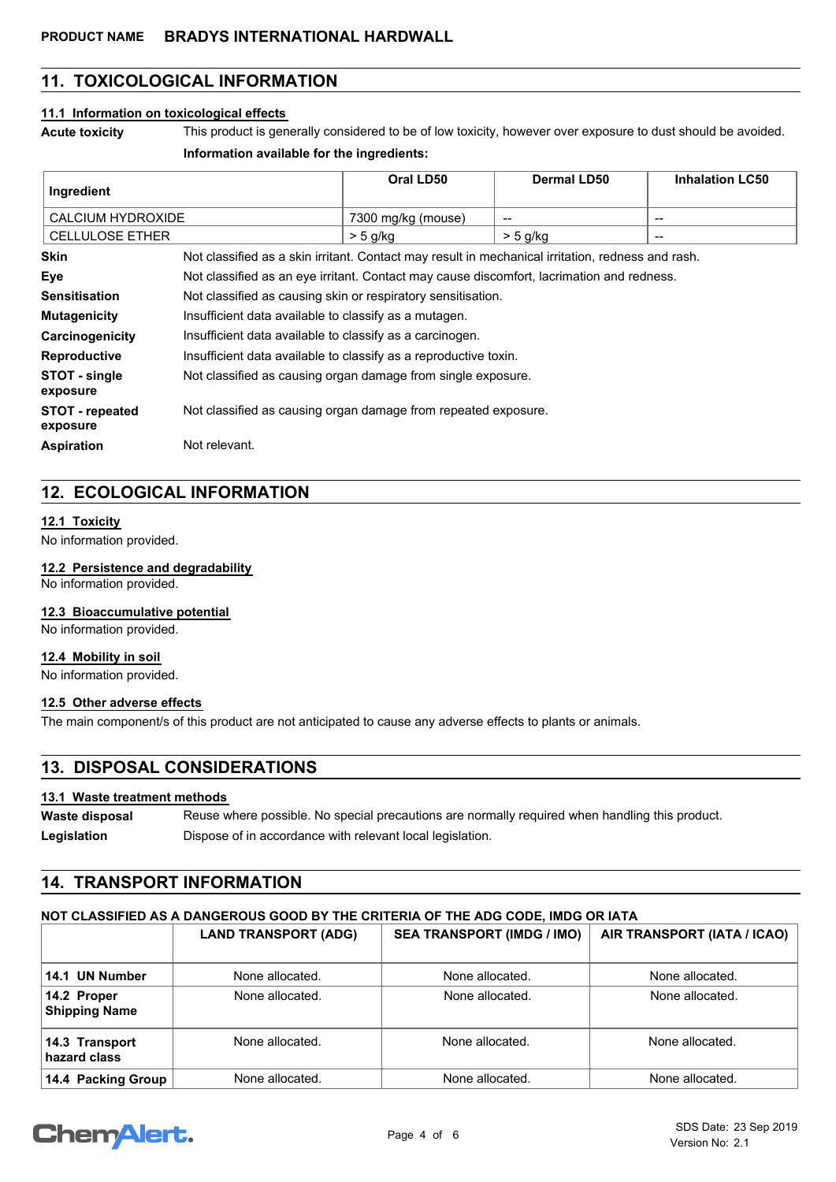# **11. TOXICOLOGICAL INFORMATION**

### **11.1 Information on toxicological effects**

**Acute toxicity** This product is generally considered to be of low toxicity, however over exposure to dust should be avoided.

#### **Information available for the ingredients:**

| Ingredient                  |                                                                                                   | Oral LD50          | Dermal LD50 | <b>Inhalation LC50</b> |  |
|-----------------------------|---------------------------------------------------------------------------------------------------|--------------------|-------------|------------------------|--|
| <b>CALCIUM HYDROXIDE</b>    |                                                                                                   | 7300 mg/kg (mouse) | --          | --                     |  |
| <b>CELLULOSE ETHER</b>      |                                                                                                   | $>$ 5 g/kg         | $> 5$ g/kg  | --                     |  |
| Skin                        | Not classified as a skin irritant. Contact may result in mechanical irritation, redness and rash. |                    |             |                        |  |
| Eye                         | Not classified as an eye irritant. Contact may cause discomfort, lacrimation and redness.         |                    |             |                        |  |
| <b>Sensitisation</b>        | Not classified as causing skin or respiratory sensitisation.                                      |                    |             |                        |  |
| <b>Mutagenicity</b>         | Insufficient data available to classify as a mutagen.                                             |                    |             |                        |  |
| Carcinogenicity             | Insufficient data available to classify as a carcinogen.                                          |                    |             |                        |  |
| <b>Reproductive</b>         | Insufficient data available to classify as a reproductive toxin.                                  |                    |             |                        |  |
| STOT - single<br>exposure   | Not classified as causing organ damage from single exposure.                                      |                    |             |                        |  |
| STOT - repeated<br>exposure | Not classified as causing organ damage from repeated exposure.                                    |                    |             |                        |  |
| <b>Aspiration</b>           | Not relevant.                                                                                     |                    |             |                        |  |

# **12. ECOLOGICAL INFORMATION**

#### **12.1 Toxicity**

No information provided.

#### **12.2 Persistence and degradability**

No information provided.

# **12.3 Bioaccumulative potential**

No information provided.

## **12.4 Mobility in soil**

No information provided.

# **12.5 Other adverse effects**

The main component/s of this product are not anticipated to cause any adverse effects to plants or animals.

# **13. DISPOSAL CONSIDERATIONS**

## **13.1 Waste treatment methods**

Reuse where possible. No special precautions are normally required when handling this product. **Waste disposal** Legislation **Dispose of in accordance with relevant local legislation.** 

# **14. TRANSPORT INFORMATION**

# **NOT CLASSIFIED AS A DANGEROUS GOOD BY THE CRITERIA OF THE ADG CODE, IMDG OR IATA**

|                                     | <b>LAND TRANSPORT (ADG)</b> | <b>SEA TRANSPORT (IMDG / IMO)</b> | AIR TRANSPORT (IATA / ICAO) |
|-------------------------------------|-----------------------------|-----------------------------------|-----------------------------|
| 14.1 UN Number                      | None allocated.             | None allocated.                   | None allocated.             |
| 14.2 Proper<br><b>Shipping Name</b> | None allocated.             | None allocated.                   | None allocated.             |
| 14.3 Transport<br>hazard class      | None allocated.             | None allocated.                   | None allocated.             |
| 14.4 Packing Group                  | None allocated.             | None allocated.                   | None allocated.             |

# Chem Alert.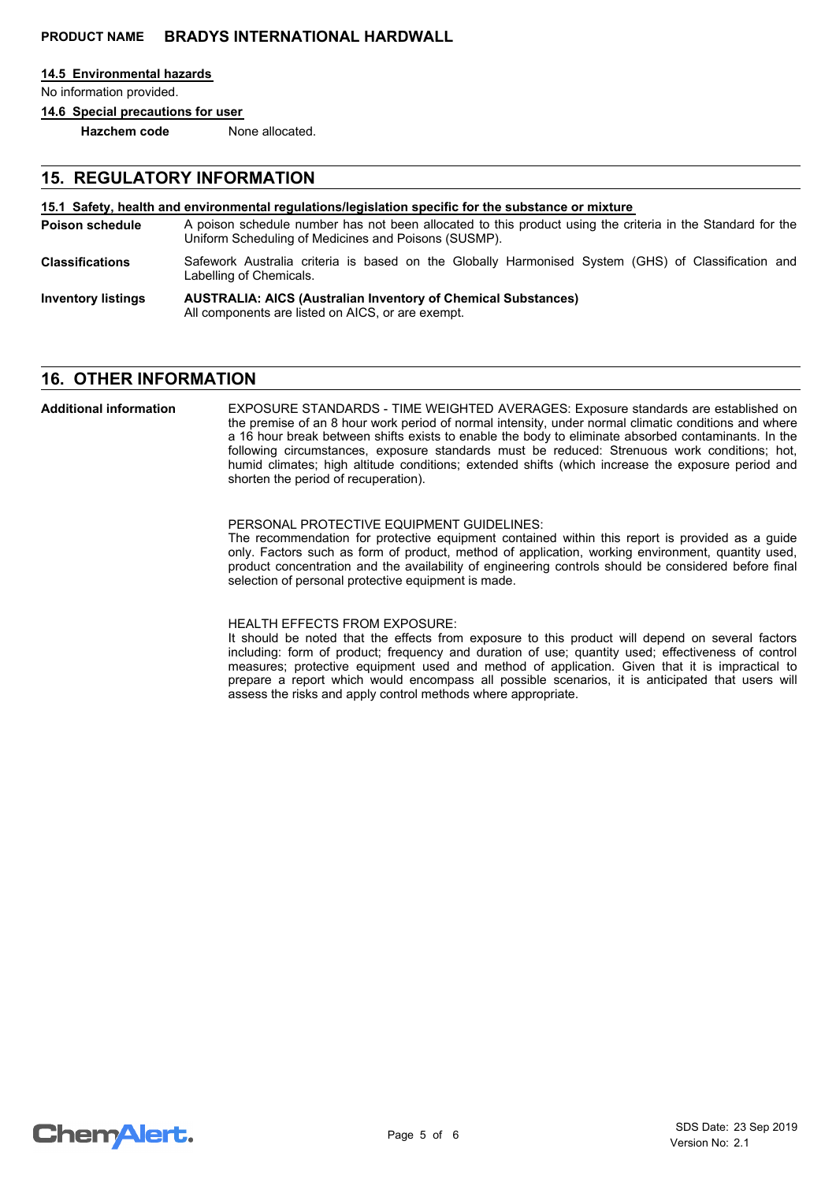#### **14.5 Environmental hazards**

No information provided.

**14.6 Special precautions for user**

**Hazchem code** None allocated.

# **15. REGULATORY INFORMATION**

#### **15.1 Safety, health and environmental regulations/legislation specific for the substance or mixture**

- A poison schedule number has not been allocated to this product using the criteria in the Standard for the Uniform Scheduling of Medicines and Poisons (SUSMP). **Poison schedule**
- Safework Australia criteria is based on the Globally Harmonised System (GHS) of Classification and Labelling of Chemicals. **Classifications**
- **AUSTRALIA: AICS (Australian Inventory of Chemical Substances)** All components are listed on AICS, or are exempt. **Inventory listings**

# **16. OTHER INFORMATION**

EXPOSURE STANDARDS - TIME WEIGHTED AVERAGES: Exposure standards are established on the premise of an 8 hour work period of normal intensity, under normal climatic conditions and where a 16 hour break between shifts exists to enable the body to eliminate absorbed contaminants. In the following circumstances, exposure standards must be reduced: Strenuous work conditions; hot, humid climates; high altitude conditions; extended shifts (which increase the exposure period and shorten the period of recuperation). **Additional information**

#### PERSONAL PROTECTIVE EQUIPMENT GUIDELINES:

The recommendation for protective equipment contained within this report is provided as a guide only. Factors such as form of product, method of application, working environment, quantity used, product concentration and the availability of engineering controls should be considered before final selection of personal protective equipment is made.

### HEALTH EFFECTS FROM EXPOSURE:

It should be noted that the effects from exposure to this product will depend on several factors including: form of product; frequency and duration of use; quantity used; effectiveness of control measures; protective equipment used and method of application. Given that it is impractical to prepare a report which would encompass all possible scenarios, it is anticipated that users will assess the risks and apply control methods where appropriate.